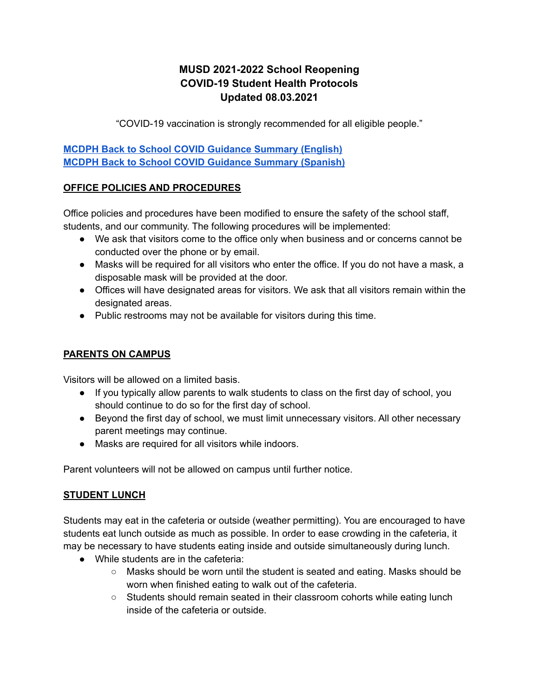# **MUSD 2021-2022 School Reopening COVID-19 Student Health Protocols Updated 08.03.2021**

"COVID-19 vaccination is strongly recommended for all eligible people."

**MCDPH Back to School COVID Guidance [Summary](https://drive.google.com/file/d/1gDZQwhzqmwszxrfyLl4b-sRDoqsTgFiT/view?usp=sharing) (English) MCDPH Back to School COVID Guidance [Summary](https://drive.google.com/file/d/1XcxRAKJ1HUB95eQxKBrSUKAZmgrnwQWA/view?usp=sharing) (Spanish)**

### **OFFICE POLICIES AND PROCEDURES**

Office policies and procedures have been modified to ensure the safety of the school staff, students, and our community. The following procedures will be implemented:

- We ask that visitors come to the office only when business and or concerns cannot be conducted over the phone or by email.
- Masks will be required for all visitors who enter the office. If you do not have a mask, a disposable mask will be provided at the door.
- Offices will have designated areas for visitors. We ask that all visitors remain within the designated areas.
- Public restrooms may not be available for visitors during this time.

# **PARENTS ON CAMPUS**

Visitors will be allowed on a limited basis.

- If you typically allow parents to walk students to class on the first day of school, you should continue to do so for the first day of school.
- Beyond the first day of school, we must limit unnecessary visitors. All other necessary parent meetings may continue.
- Masks are required for all visitors while indoors.

Parent volunteers will not be allowed on campus until further notice.

# **STUDENT LUNCH**

Students may eat in the cafeteria or outside (weather permitting). You are encouraged to have students eat lunch outside as much as possible. In order to ease crowding in the cafeteria, it may be necessary to have students eating inside and outside simultaneously during lunch.

- While students are in the cafeteria:
	- Masks should be worn until the student is seated and eating. Masks should be worn when finished eating to walk out of the cafeteria.
	- Students should remain seated in their classroom cohorts while eating lunch inside of the cafeteria or outside.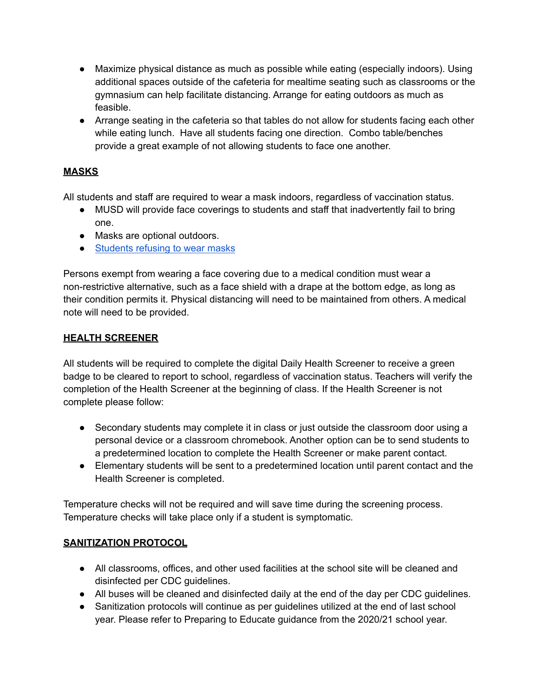- Maximize physical distance as much as possible while eating (especially indoors). Using additional spaces outside of the cafeteria for mealtime seating such as classrooms or the gymnasium can help facilitate distancing. Arrange for eating outdoors as much as feasible.
- Arrange seating in the cafeteria so that tables do not allow for students facing each other while eating lunch. Have all students facing one direction. Combo table/benches provide a great example of not allowing students to face one another.

## **MASKS**

All students and staff are required to wear a mask indoors, regardless of vaccination status.

- MUSD will provide face coverings to students and staff that inadvertently fail to bring one.
- Masks are optional outdoors.
- [Students](https://docs.google.com/document/d/1xjn5frJoNnMR4oawNwBOpUUVm5JBoHmdUZnlrYai04s/edit) refusing to wear masks

Persons exempt from wearing a face covering due to a medical condition must wear a non-restrictive alternative, such as a face shield with a drape at the bottom edge, as long as their condition permits it. Physical distancing will need to be maintained from others. A medical note will need to be provided.

#### **HEALTH SCREENER**

All students will be required to complete the digital Daily Health Screener to receive a green badge to be cleared to report to school, regardless of vaccination status. Teachers will verify the completion of the Health Screener at the beginning of class. If the Health Screener is not complete please follow:

- Secondary students may complete it in class or just outside the classroom door using a personal device or a classroom chromebook. Another option can be to send students to a predetermined location to complete the Health Screener or make parent contact.
- Elementary students will be sent to a predetermined location until parent contact and the Health Screener is completed.

Temperature checks will not be required and will save time during the screening process. Temperature checks will take place only if a student is symptomatic.

### **SANITIZATION PROTOCOL**

- All classrooms, offices, and other used facilities at the school site will be cleaned and disinfected per CDC guidelines.
- All buses will be cleaned and disinfected daily at the end of the day per CDC guidelines.
- Sanitization protocols will continue as per guidelines utilized at the end of last school year. Please refer to Preparing to Educate guidance from the 2020/21 school year.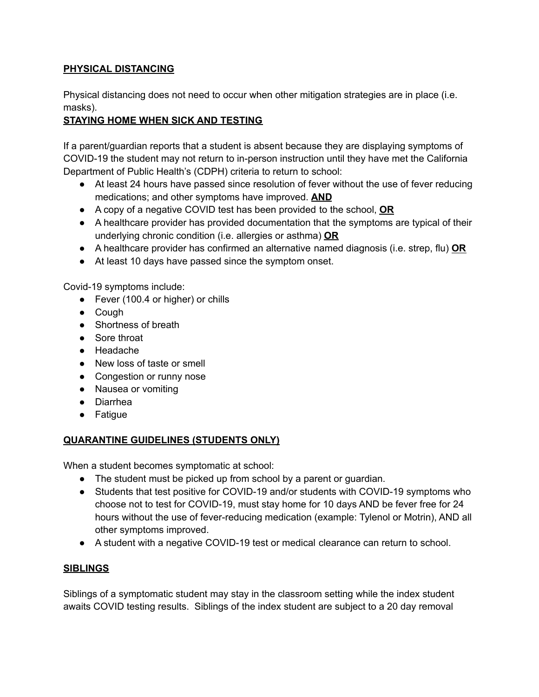## **PHYSICAL DISTANCING**

Physical distancing does not need to occur when other mitigation strategies are in place (i.e. masks).

# **STAYING HOME WHEN SICK AND TESTING**

If a parent/guardian reports that a student is absent because they are displaying symptoms of COVID-19 the student may not return to in-person instruction until they have met the California Department of Public Health's (CDPH) criteria to return to school:

- At least 24 hours have passed since resolution of fever without the use of fever reducing medications; and other symptoms have improved. **AND**
- A copy of a negative COVID test has been provided to the school, **OR**
- A healthcare provider has provided documentation that the symptoms are typical of their underlying chronic condition (i.e. allergies or asthma) **OR**
- A healthcare provider has confirmed an alternative named diagnosis (i.e. strep, flu) **OR**
- At least 10 days have passed since the symptom onset.

Covid-19 symptoms include:

- Fever (100.4 or higher) or chills
- Cough
- Shortness of breath
- Sore throat
- Headache
- New loss of taste or smell
- Congestion or runny nose
- Nausea or vomiting
- Diarrhea
- Fatigue

# **QUARANTINE GUIDELINES (STUDENTS ONLY)**

When a student becomes symptomatic at school:

- The student must be picked up from school by a parent or guardian.
- Students that test positive for COVID-19 and/or students with COVID-19 symptoms who choose not to test for COVID-19, must stay home for 10 days AND be fever free for 24 hours without the use of fever-reducing medication (example: Tylenol or Motrin), AND all other symptoms improved.
- A student with a negative COVID-19 test or medical clearance can return to school.

### **SIBLINGS**

Siblings of a symptomatic student may stay in the classroom setting while the index student awaits COVID testing results. Siblings of the index student are subject to a 20 day removal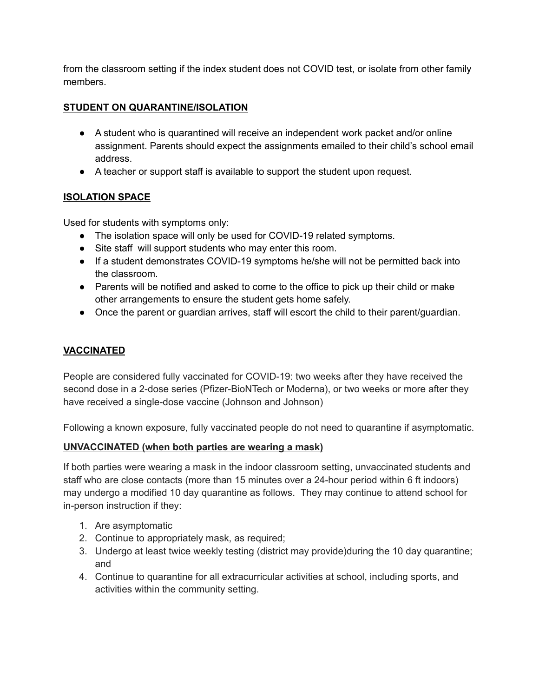from the classroom setting if the index student does not COVID test, or isolate from other family members.

## **STUDENT ON QUARANTINE/ISOLATION**

- A student who is quarantined will receive an independent work packet and/or online assignment. Parents should expect the assignments emailed to their child's school email address.
- A teacher or support staff is available to support the student upon request.

## **ISOLATION SPACE**

Used for students with symptoms only:

- The isolation space will only be used for COVID-19 related symptoms.
- Site staff will support students who may enter this room.
- If a student demonstrates COVID-19 symptoms he/she will not be permitted back into the classroom.
- Parents will be notified and asked to come to the office to pick up their child or make other arrangements to ensure the student gets home safely.
- Once the parent or guardian arrives, staff will escort the child to their parent/guardian.

# **VACCINATED**

People are considered fully vaccinated for COVID-19: two weeks after they have received the second dose in a 2-dose series (Pfizer-BioNTech or Moderna), or two weeks or more after they have received a single-dose vaccine (Johnson and Johnson)

Following a known exposure, fully vaccinated people do not need to quarantine if asymptomatic.

### **UNVACCINATED (when both parties are wearing a mask)**

If both parties were wearing a mask in the indoor classroom setting, unvaccinated students and staff who are close contacts (more than 15 minutes over a 24-hour period within 6 ft indoors) may undergo a modified 10 day quarantine as follows. They may continue to attend school for in-person instruction if they:

- 1. Are asymptomatic
- 2. Continue to appropriately mask, as required;
- 3. Undergo at least twice weekly testing (district may provide)during the 10 day quarantine; and
- 4. Continue to quarantine for all extracurricular activities at school, including sports, and activities within the community setting.